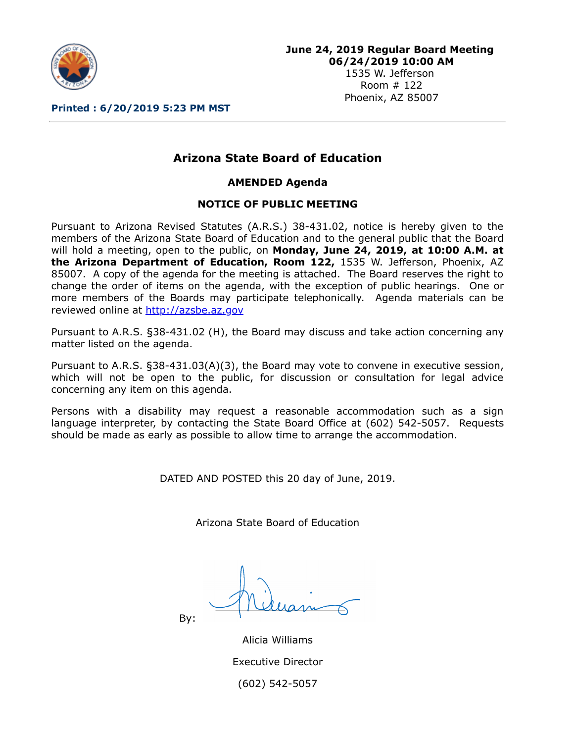

Room # 122 Phoenix, AZ 85007

**Printed : 6/20/2019 5:23 PM MST**

# **Arizona State Board of Education**

**AMENDED Agenda**

#### **NOTICE OF PUBLIC MEETING**

Pursuant to Arizona Revised Statutes (A.R.S.) 38-431.02, notice is hereby given to the members of the Arizona State Board of Education and to the general public that the Board will hold a meeting, open to the public, on **Monday, June 24, 2019, at 10:00 A.M. at the Arizona Department of Education, Room 122,** 1535 W. Jefferson, Phoenix, AZ 85007. A copy of the agenda for the meeting is attached. The Board reserves the right to change the order of items on the agenda, with the exception of public hearings. One or more members of the Boards may participate telephonically. Agenda materials can be reviewed online at [http://azsbe.az.gov](http://azsbe.az.gov/)

Pursuant to A.R.S. §38-431.02 (H), the Board may discuss and take action concerning any matter listed on the agenda.

Pursuant to A.R.S. §38-431.03(A)(3), the Board may vote to convene in executive session, which will not be open to the public, for discussion or consultation for legal advice concerning any item on this agenda.

Persons with a disability may request a reasonable accommodation such as a sign language interpreter, by contacting the State Board Office at (602) 542-5057. Requests should be made as early as possible to allow time to arrange the accommodation.

DATED AND POSTED this 20 day of June, 2019.

Arizona State Board of Education

By:

Alicia Williams Executive Director (602) 542-5057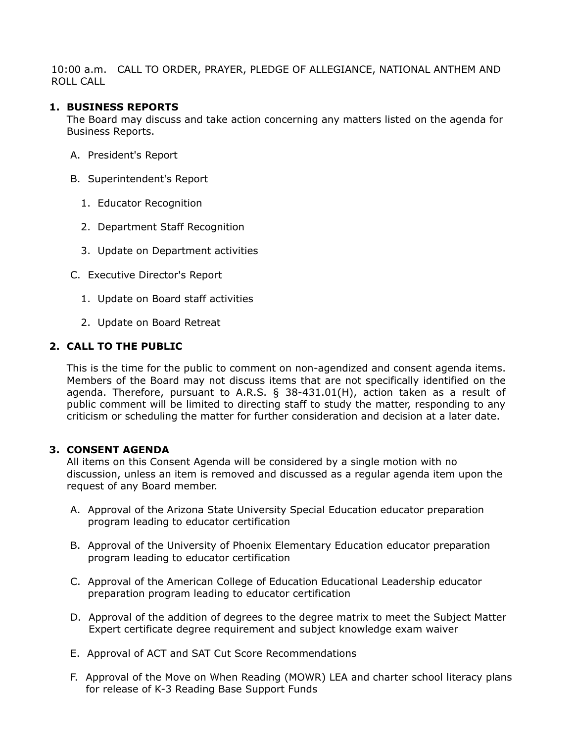10:00 a.m. CALL TO ORDER, PRAYER, PLEDGE OF ALLEGIANCE, NATIONAL ANTHEM AND ROLL CALL

#### **1. BUSINESS REPORTS**

The Board may discuss and take action concerning any matters listed on the agenda for Business Reports.

- A. President's Report
- B. Superintendent's Report
	- 1. Educator Recognition
	- 2. Department Staff Recognition
	- 3. Update on Department activities
- C. Executive Director's Report
	- 1. Update on Board staff activities
	- 2. Update on Board Retreat

#### **2. CALL TO THE PUBLIC**

This is the time for the public to comment on non-agendized and consent agenda items. Members of the Board may not discuss items that are not specifically identified on the agenda. Therefore, pursuant to A.R.S. § 38-431.01(H), action taken as a result of public comment will be limited to directing staff to study the matter, responding to any criticism or scheduling the matter for further consideration and decision at a later date.

#### **3. CONSENT AGENDA**

All items on this Consent Agenda will be considered by a single motion with no discussion, unless an item is removed and discussed as a regular agenda item upon the request of any Board member.

- A. Approval of the Arizona State University Special Education educator preparation program leading to educator certification
- B. Approval of the University of Phoenix Elementary Education educator preparation program leading to educator certification
- C. Approval of the American College of Education Educational Leadership educator preparation program leading to educator certification
- D. Approval of the addition of degrees to the degree matrix to meet the Subject Matter Expert certificate degree requirement and subject knowledge exam waiver
- E. Approval of ACT and SAT Cut Score Recommendations
- F. Approval of the Move on When Reading (MOWR) LEA and charter school literacy plans for release of K-3 Reading Base Support Funds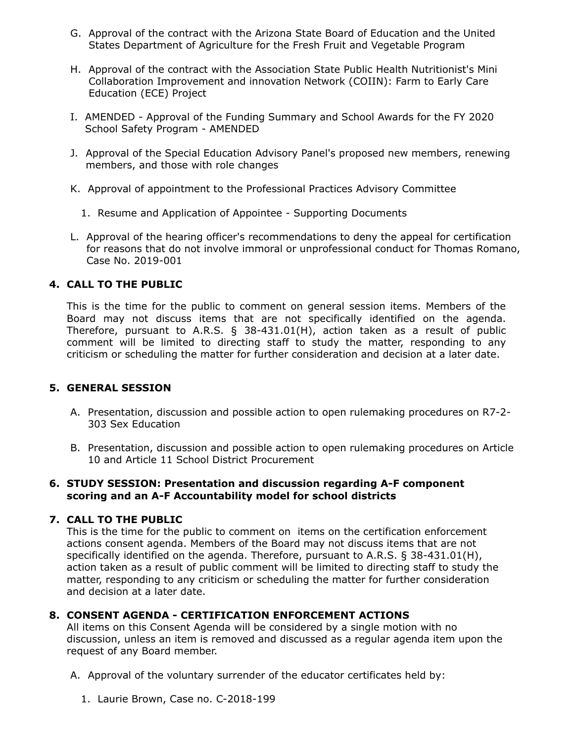- G. Approval of the contract with the Arizona State Board of Education and the United States Department of Agriculture for the Fresh Fruit and Vegetable Program
- H. Approval of the contract with the Association State Public Health Nutritionist's Mini Collaboration Improvement and innovation Network (COIIN): Farm to Early Care Education (ECE) Project
- I. AMENDED Approval of the Funding Summary and School Awards for the FY 2020 School Safety Program - AMENDED
- J. Approval of the Special Education Advisory Panel's proposed new members, renewing members, and those with role changes
- K. Approval of appointment to the Professional Practices Advisory Committee
	- 1. Resume and Application of Appointee Supporting Documents
- L. Approval of the hearing officer's recommendations to deny the appeal for certification for reasons that do not involve immoral or unprofessional conduct for Thomas Romano, Case No. 2019-001

## **4. CALL TO THE PUBLIC**

This is the time for the public to comment on general session items. Members of the Board may not discuss items that are not specifically identified on the agenda. Therefore, pursuant to A.R.S. § 38-431.01(H), action taken as a result of public comment will be limited to directing staff to study the matter, responding to any criticism or scheduling the matter for further consideration and decision at a later date.

### **5. GENERAL SESSION**

- A. Presentation, discussion and possible action to open rulemaking procedures on R7-2- 303 Sex Education
- B. Presentation, discussion and possible action to open rulemaking procedures on Article 10 and Article 11 School District Procurement

#### **6. STUDY SESSION: Presentation and discussion regarding A-F component scoring and an A-F Accountability model for school districts**

### **7. CALL TO THE PUBLIC**

This is the time for the public to comment on items on the certification enforcement actions consent agenda. Members of the Board may not discuss items that are not specifically identified on the agenda. Therefore, pursuant to A.R.S. § 38-431.01(H), action taken as a result of public comment will be limited to directing staff to study the matter, responding to any criticism or scheduling the matter for further consideration and decision at a later date.

# **8. CONSENT AGENDA - CERTIFICATION ENFORCEMENT ACTIONS**

All items on this Consent Agenda will be considered by a single motion with no discussion, unless an item is removed and discussed as a regular agenda item upon the request of any Board member.

- A. Approval of the voluntary surrender of the educator certificates held by:
	- 1. Laurie Brown, Case no. C-2018-199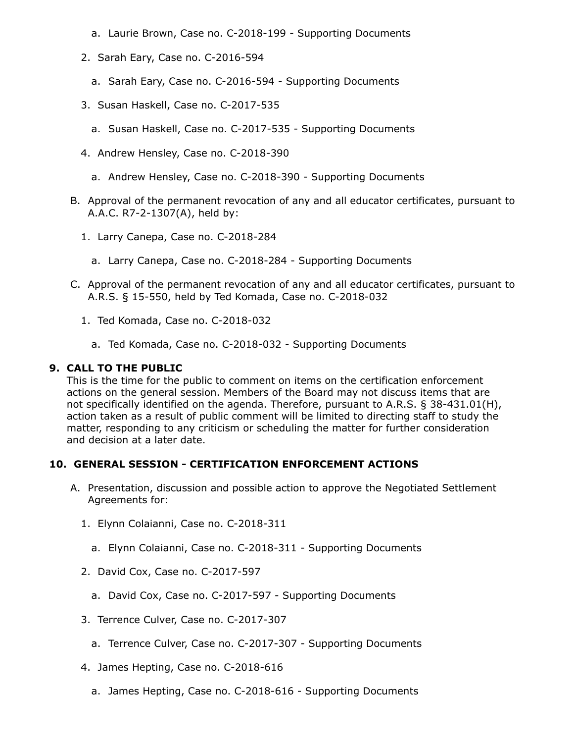- a. Laurie Brown, Case no. C-2018-199 Supporting Documents
- 2. Sarah Eary, Case no. C-2016-594
	- a. Sarah Eary, Case no. C-2016-594 Supporting Documents
- 3. Susan Haskell, Case no. C-2017-535
	- a. Susan Haskell, Case no. C-2017-535 Supporting Documents
- 4. Andrew Hensley, Case no. C-2018-390
	- a. Andrew Hensley, Case no. C-2018-390 Supporting Documents
- B. Approval of the permanent revocation of any and all educator certificates, pursuant to A.A.C. R7-2-1307(A), held by:
	- 1. Larry Canepa, Case no. C-2018-284
		- a. Larry Canepa, Case no. C-2018-284 Supporting Documents
- C. Approval of the permanent revocation of any and all educator certificates, pursuant to A.R.S. § 15-550, held by Ted Komada, Case no. C-2018-032
	- 1. Ted Komada, Case no. C-2018-032
		- a. Ted Komada, Case no. C-2018-032 Supporting Documents

#### **9. CALL TO THE PUBLIC**

This is the time for the public to comment on items on the certification enforcement actions on the general session. Members of the Board may not discuss items that are not specifically identified on the agenda. Therefore, pursuant to A.R.S. § 38-431.01(H), action taken as a result of public comment will be limited to directing staff to study the matter, responding to any criticism or scheduling the matter for further consideration and decision at a later date.

#### **10. GENERAL SESSION - CERTIFICATION ENFORCEMENT ACTIONS**

- A. Presentation, discussion and possible action to approve the Negotiated Settlement Agreements for:
	- 1. Elynn Colaianni, Case no. C-2018-311
		- a. Elynn Colaianni, Case no. C-2018-311 Supporting Documents
	- 2. David Cox, Case no. C-2017-597
		- a. David Cox, Case no. C-2017-597 Supporting Documents
	- 3. Terrence Culver, Case no. C-2017-307
		- a. Terrence Culver, Case no. C-2017-307 Supporting Documents
	- 4. James Hepting, Case no. C-2018-616
		- a. James Hepting, Case no. C-2018-616 Supporting Documents